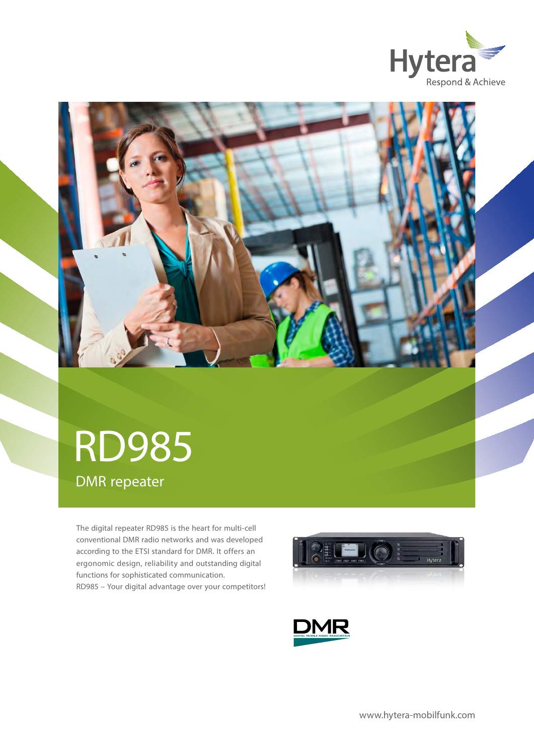



# DMR repeater RD985

The digital repeater RD985 is the heart for multi-cell conventional DMR radio networks and was developed according to the ETSI standard for DMR. It offers an ergonomic design, reliability and outstanding digital functions for sophisticated communication. RD985 – Your digital advantage over your competitors!



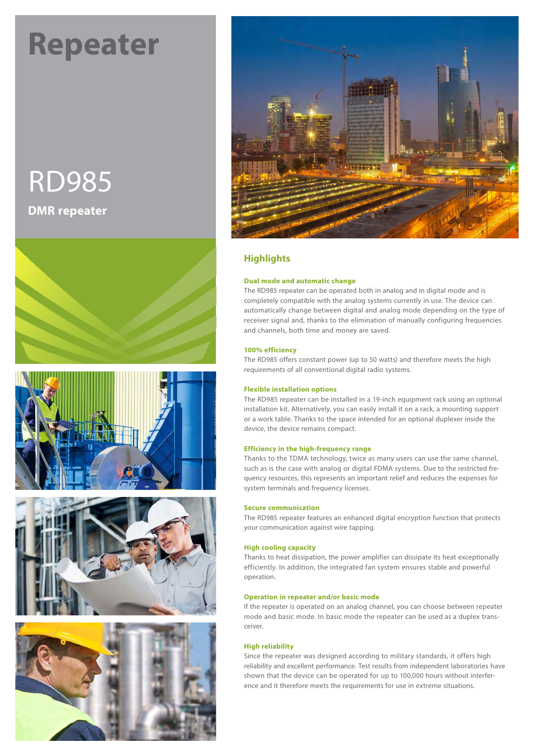# **Repeater**

# RD985 **DMR repeater**











# **Highlights**

#### **Dual mode and automatic change**

The RD985 repeater can be operated both in analog and in digital mode and is completely compatible with the analog systems currently in use. The device can automatically change between digital and analog mode depending on the type of receiver signal and, thanks to the elimination of manually configuring frequencies and channels, both time and money are saved.

#### **100% efficiency**

The RD985 offers constant power (up to 50 watts) and therefore meets the high requirements of all conventional digital radio systems.

#### **Flexible installation options**

The RD985 repeater can be installed in a 19-inch equipment rack using an optional installation kit. Alternatively, you can easily install it on a rack, a mounting support or a work table. Thanks to the space intended for an optional duplexer inside the device, the device remains compact.

#### **Efficiency in the high-frequency range**

Thanks to the TDMA technology, twice as many users can use the same channel, such as is the case with analog or digital FDMA systems. Due to the restricted frequency resources, this represents an important relief and reduces the expenses for system terminals and frequency licenses.

#### **Secure communication**

The RD985 repeater features an enhanced digital encryption function that protects your communication against wire tapping.

#### **High cooling capacity**

Thanks to heat dissipation, the power amplifier can dissipate its heat exceptionally efficiently. In addition, the integrated fan system ensures stable and powerful operation.

#### **Operation in repeater and/or basic mode**

If the repeater is operated on an analog channel, you can choose between repeater mode and basic mode. In basic mode the repeater can be used as a duplex transceiver.

#### **High reliability**

Since the repeater was designed according to military standards, it offers high reliability and excellent performance. Test results from independent laboratories have shown that the device can be operated for up to 100,000 hours without interference and it therefore meets the requirements for use in extreme situations.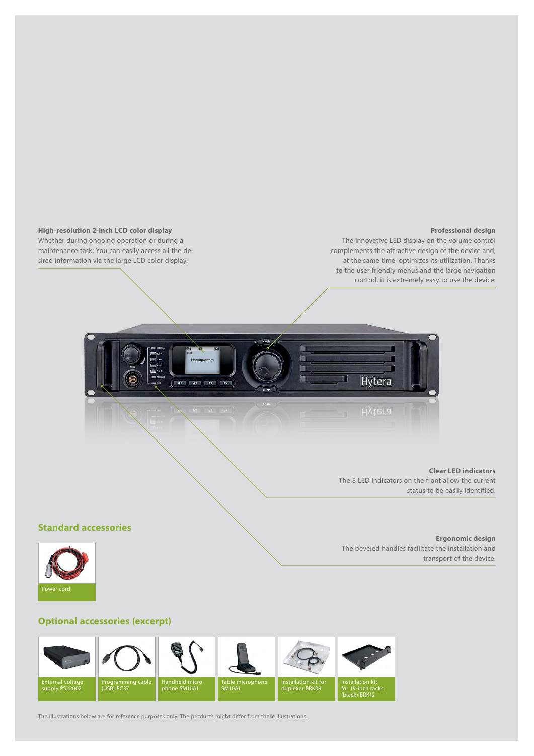

The illustrations below are for reference purposes only. The products might differ from these illustrations.